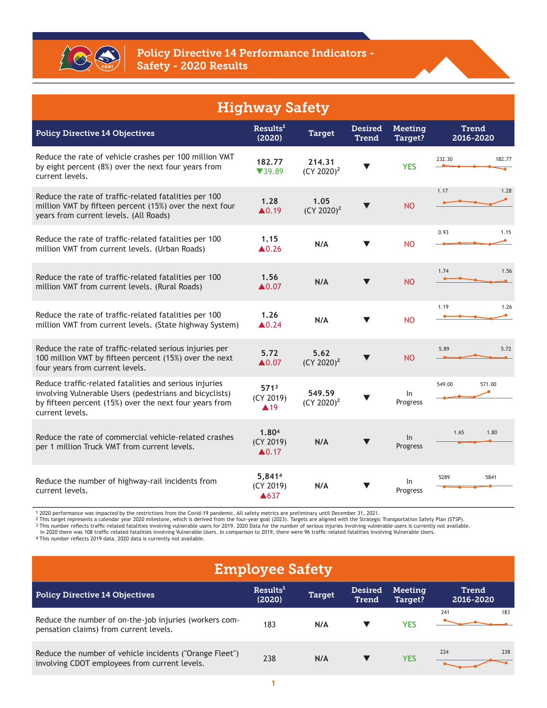

| <b>Highway Safety</b>                                                                                                                                                                          |                                                      |                         |                                |                           |                           |  |  |  |  |
|------------------------------------------------------------------------------------------------------------------------------------------------------------------------------------------------|------------------------------------------------------|-------------------------|--------------------------------|---------------------------|---------------------------|--|--|--|--|
| <b>Policy Directive 14 Objectives</b>                                                                                                                                                          | Results <sup>1</sup><br>(2020)                       | <b>Target</b>           | <b>Desired</b><br><b>Trend</b> | <b>Meeting</b><br>Target? | <b>Trend</b><br>2016-2020 |  |  |  |  |
| Reduce the rate of vehicle crashes per 100 million VMT<br>by eight percent (8%) over the next four years from<br>current levels.                                                               | 182.77<br>739.89                                     | 214.31<br>$(CY 2020)^2$ |                                | <b>YES</b>                | 232.30<br>182.77          |  |  |  |  |
| Reduce the rate of traffic-related fatalities per 100<br>million VMT by fifteen percent (15%) over the next four<br>years from current levels. (All Roads)                                     | 1.28<br>$\triangle$ 0.19                             | 1.05<br>$(CY 2020)^2$   |                                | <b>NO</b>                 | 1.17<br>1.28              |  |  |  |  |
| Reduce the rate of traffic-related fatalities per 100<br>million VMT from current levels. (Urban Roads)                                                                                        | 1.15<br>$\triangle$ 0.26                             | N/A                     | $\blacktriangledown$           | <b>NO</b>                 | 0.93<br>1.15              |  |  |  |  |
| Reduce the rate of traffic-related fatalities per 100<br>million VMT from current levels. (Rural Roads)                                                                                        | 1.56<br>$\triangle 0.07$                             | N/A                     | $\blacktriangledown$           | <b>NO</b>                 | 1.74<br>1.56              |  |  |  |  |
| Reduce the rate of traffic-related fatalities per 100<br>million VMT from current levels. (State highway System)                                                                               | 1.26<br>$\triangle$ 0.24                             | N/A                     | $\blacktriangledown$           | <b>NO</b>                 | 1.26<br>1.19              |  |  |  |  |
| Reduce the rate of traffic-related serious injuries per<br>100 million VMT by fifteen percent (15%) over the next<br>four years from current levels.                                           | 5.72<br>$\blacktriangle 0.07$                        | 5.62<br>$(CY 2020)^2$   | $\blacktriangledown$           | <b>NO</b>                 | 5.89<br>5.72              |  |  |  |  |
| Reduce traffic-related fatalities and serious injuries<br>involving Vulnerable Users (pedestrians and bicyclists)<br>by fifteen percent (15%) over the next four years from<br>current levels. | 571 <sup>3</sup><br>(CY 2019)<br>$\blacktriangle$ 19 | 549.59<br>$(CY 2020)^2$ |                                | In.<br>Progress           | 549.00<br>571.00          |  |  |  |  |
| Reduce the rate of commercial vehicle-related crashes<br>per 1 million Truck VMT from current levels.                                                                                          | 1.804<br>(CY 2019)<br>$\triangle 0.17$               | N/A                     | $\blacktriangledown$           | ln<br>Progress            | 1.65<br>1.80              |  |  |  |  |
| Reduce the number of highway-rail incidents from<br>current levels.                                                                                                                            | 5,8414<br>(CY 2019)<br>▲637                          | N/A                     |                                | In<br>Progress            | 5289<br>5841              |  |  |  |  |

1 2020 performance was impacted by the restrictions from the Covid-19 pandemic. All safety metrics are preliminary until December 31, 2021.<br>2 This target represents a calendar year 2020 milestone, which is derived to the b

In 2020 there was 108 traffic-related fatalities involving Vulnerable Users. In comparison to 2019, there were 96 traffic-related fatalities involving Vulnerable Users.<br>4 This number reflects 2019 data. 2020 data is curren

| <b>Employee Safety</b>                                                                                   |                                |               |                         |                    |                    |     |  |
|----------------------------------------------------------------------------------------------------------|--------------------------------|---------------|-------------------------|--------------------|--------------------|-----|--|
| <b>Policy Directive 14 Objectives</b>                                                                    | Results <sup>1</sup><br>(2020) | <b>Target</b> | <b>Desired</b><br>Trend | Meeting<br>Target? | Trend<br>2016-2020 |     |  |
| Reduce the number of on-the-job injuries (workers com-<br>pensation claims) from current levels.         | 183                            | N/A           |                         | <b>YES</b>         | 241                | 183 |  |
| Reduce the number of vehicle incidents ("Orange Fleet")<br>involving CDOT employees from current levels. | 238                            | N/A           |                         | <b>YES</b>         | 224                | 238 |  |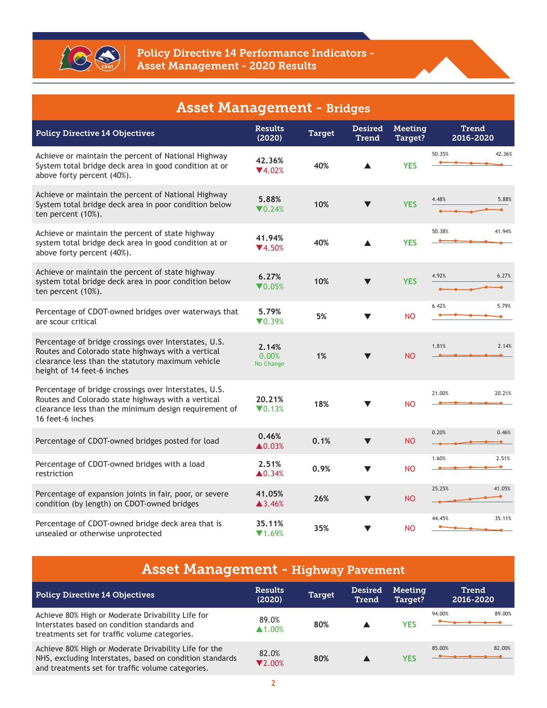

| <b>Asset Management - Bridges</b>                                                                                                                                                              |                                  |               |                         |                    |                    |  |  |  |
|------------------------------------------------------------------------------------------------------------------------------------------------------------------------------------------------|----------------------------------|---------------|-------------------------|--------------------|--------------------|--|--|--|
| <b>Policy Directive 14 Objectives</b>                                                                                                                                                          | <b>Results</b><br>(2020)         | <b>Target</b> | <b>Desired</b><br>Trend | Meeting<br>Target? | Trend<br>2016-2020 |  |  |  |
| Achieve or maintain the percent of National Highway<br>System total bridge deck area in good condition at or<br>above forty percent (40%).                                                     | 42.36%<br>$\Psi$ 4.02%           | 40%           |                         | <b>YES</b>         | 50.35%<br>42.36%   |  |  |  |
| Achieve or maintain the percent of National Highway<br>System total bridge deck area in poor condition below<br>ten percent (10%).                                                             | 5.88%<br>$\nabla 0.24%$          | 10%           | v                       | <b>YES</b>         | 4.48%<br>5.88%     |  |  |  |
| Achieve or maintain the percent of state highway<br>system total bridge deck area in good condition at or<br>above forty percent (40%).                                                        | 41.94%<br>$\Psi$ 4.50%           | 40%           |                         | <b>YES</b>         | 50.38%<br>41.94%   |  |  |  |
| Achieve or maintain the percent of state highway<br>system total bridge deck area in poor condition below<br>ten percent (10%).                                                                | 6.27%<br>$\nabla 0.05%$          | 10%           | v                       | <b>YES</b>         | 4.92%<br>6.27%     |  |  |  |
| Percentage of CDOT-owned bridges over waterways that<br>are scour critical                                                                                                                     | 5.79%<br>$\nabla 0.39%$          | 5%            |                         | <b>NO</b>          | 6.42%<br>5.79%     |  |  |  |
| Percentage of bridge crossings over Interstates, U.S.<br>Routes and Colorado state highways with a vertical<br>clearance less than the statutory maximum vehicle<br>height of 14 feet-6 inches | 2.14%<br>0.00%<br>No Change      | 1%            |                         | <b>NO</b>          | 1.81%<br>2.14%     |  |  |  |
| Percentage of bridge crossings over Interstates, U.S.<br>Routes and Colorado state highways with a vertical<br>clearance less than the minimum design requirement of<br>16 feet-6 inches       | 20.21%<br>$\nabla 0.13%$         | 18%           | ▼                       | <b>NO</b>          | 21.00%<br>20.21%   |  |  |  |
| Percentage of CDOT-owned bridges posted for load                                                                                                                                               | 0.46%<br>$\blacktriangle 0.03\%$ | 0.1%          | $\blacktriangledown$    | <b>NO</b>          | 0.20%<br>0.46%     |  |  |  |
| Percentage of CDOT-owned bridges with a load<br>restriction                                                                                                                                    | 2.51%<br>$\blacktriangle$ 0.34%  | 0.9%          | $\blacktriangledown$    | <b>NO</b>          | 1.60%<br>2.51%     |  |  |  |
| Percentage of expansion joints in fair, poor, or severe<br>condition (by length) on CDOT-owned bridges                                                                                         | 41.05%<br>▲3.46%                 | 26%           |                         | <b>NO</b>          | 25.25%<br>41.05%   |  |  |  |
| Percentage of CDOT-owned bridge deck area that is<br>unsealed or otherwise unprotected                                                                                                         | 35.11%<br>$\P$ 1.69%             | 35%           | $\blacktriangledown$    | <b>NO</b>          | 44.45%<br>35.11%   |  |  |  |

| <b>Asset Management - Highway Pavement</b>                                                                                                                             |                                 |               |                         |                    |                    |  |  |
|------------------------------------------------------------------------------------------------------------------------------------------------------------------------|---------------------------------|---------------|-------------------------|--------------------|--------------------|--|--|
| <b>Policy Directive 14 Objectives</b>                                                                                                                                  | <b>Results</b><br>(2020)        | <b>Target</b> | <b>Desired</b><br>Trend | Meeting<br>Target? | Trend<br>2016-2020 |  |  |
| Achieve 80% High or Moderate Drivability Life for<br>Interstates based on condition standards and<br>treatments set for traffic volume categories.                     | 89.0%<br>$\blacktriangle$ 1.00% | 80%           |                         | <b>YES</b>         | 89.00%<br>94.00%   |  |  |
| Achieve 80% High or Moderate Drivability Life for the<br>NHS, excluding Interstates, based on condition standards<br>and treatments set for traffic volume categories. | 82.0%<br>$\nabla$ 2.00%         | 80%           |                         | <b>YES</b>         | 82.00%<br>85.00%   |  |  |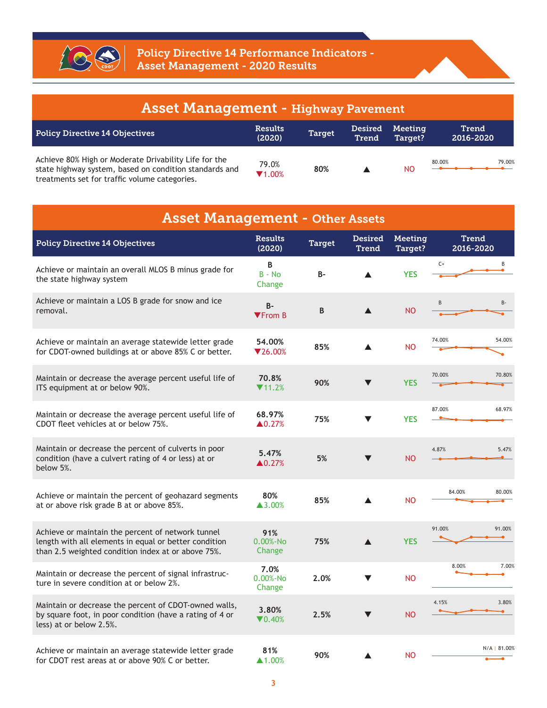

| <b>Asset Management - Highway Pavement</b>                                                                                                                       |                          |               |                         |                    |                    |  |  |  |
|------------------------------------------------------------------------------------------------------------------------------------------------------------------|--------------------------|---------------|-------------------------|--------------------|--------------------|--|--|--|
| <b>Policy Directive 14 Objectives</b>                                                                                                                            | <b>Results</b><br>(2020) | <b>Target</b> | <b>Desired</b><br>Trend | Meeting<br>Target? | Trend<br>2016-2020 |  |  |  |
| Achieve 80% High or Moderate Drivability Life for the<br>state highway system, based on condition standards and<br>treatments set for traffic volume categories. | 79.0%<br>$\P$ 1.00%      | 80%           |                         | NO.                | 79.00%<br>80.00%   |  |  |  |

| <b>Asset Management - Other Assets</b>                                                                                                                           |                                  |               |                                |                           |                           |  |  |  |  |
|------------------------------------------------------------------------------------------------------------------------------------------------------------------|----------------------------------|---------------|--------------------------------|---------------------------|---------------------------|--|--|--|--|
| <b>Policy Directive 14 Objectives</b>                                                                                                                            | <b>Results</b><br>(2020)         | <b>Target</b> | <b>Desired</b><br><b>Trend</b> | <b>Meeting</b><br>Target? | <b>Trend</b><br>2016-2020 |  |  |  |  |
| Achieve or maintain an overall MLOS B minus grade for<br>the state highway system                                                                                | B<br>$B - No$<br>Change          | <b>B-</b>     |                                | <b>YES</b>                | $C+$<br>B                 |  |  |  |  |
| Achieve or maintain a LOS B grade for snow and ice<br>removal.                                                                                                   | $B -$<br>$\P$ From B             | B             |                                | <b>NO</b>                 | B<br>B-                   |  |  |  |  |
| Achieve or maintain an average statewide letter grade<br>for CDOT-owned buildings at or above 85% C or better.                                                   | 54.00%<br>$\nabla$ 26.00%        | 85%           | ▲                              | <b>NO</b>                 | 74.00%<br>54.00%          |  |  |  |  |
| Maintain or decrease the average percent useful life of<br>ITS equipment at or below 90%.                                                                        | 70.8%<br>$\Pi$ 11.2%             | 90%           | $\blacktriangledown$           | <b>YES</b>                | 70.00%<br>70.80%          |  |  |  |  |
| Maintain or decrease the average percent useful life of<br>CDOT fleet vehicles at or below 75%.                                                                  | 68.97%<br>$\blacktriangle 0.27%$ | 75%           |                                | <b>YES</b>                | 87.00%<br>68.97%          |  |  |  |  |
| Maintain or decrease the percent of culverts in poor<br>condition (have a culvert rating of 4 or less) at or<br>below 5%.                                        | 5.47%<br>$\triangle 0.27%$       | 5%            |                                | <b>NO</b>                 | 4.87%<br>5.47%            |  |  |  |  |
| Achieve or maintain the percent of geohazard segments<br>at or above risk grade B at or above 85%.                                                               | 80%<br>$\blacktriangle$ 3.00%    | 85%           |                                | <b>NO</b>                 | 80.00%<br>84.00%          |  |  |  |  |
| Achieve or maintain the percent of network tunnel<br>length with all elements in equal or better condition<br>than 2.5 weighted condition index at or above 75%. | 91%<br>$0.00% - No$<br>Change    | 75%           | ▲                              | <b>YES</b>                | 91.00%<br>91.00%          |  |  |  |  |
| Maintain or decrease the percent of signal infrastruc-<br>ture in severe condition at or below 2%.                                                               | 7.0%<br>$0.00% - No$<br>Change   | 2.0%          |                                | <b>NO</b>                 | 8.00%<br>7.00%            |  |  |  |  |
| Maintain or decrease the percent of CDOT-owned walls,<br>by square foot, in poor condition (have a rating of 4 or<br>less) at or below 2.5%.                     | 3.80%<br>$\nabla 0.40\%$         | 2.5%          |                                | <b>NO</b>                 | 4.15%<br>3.80%            |  |  |  |  |
| Achieve or maintain an average statewide letter grade<br>for CDOT rest areas at or above 90% C or better.                                                        | 81%<br>$\blacktriangle$ 1.00%    | 90%           |                                | <b>NO</b>                 | N/A   81.00%              |  |  |  |  |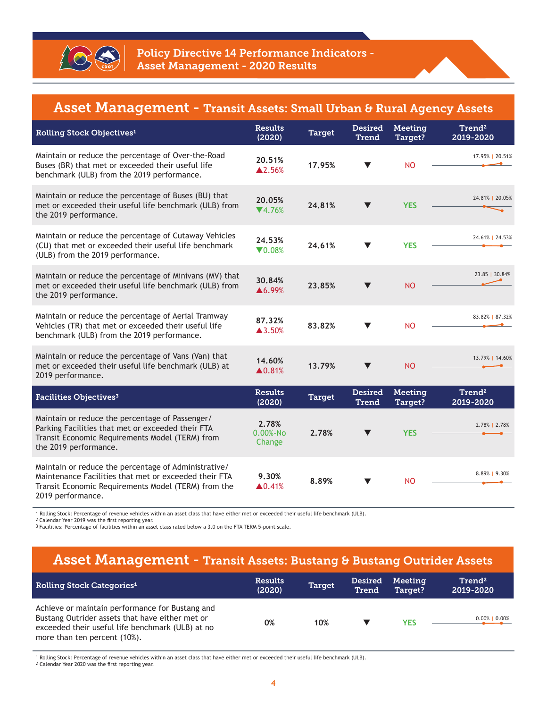

## Asset Management - Transit Assets: Small Urban & Rural Agency Assets

| Rolling Stock Objectives <sup>1</sup>                                                                                                                                                     | <b>Results</b><br>(2020)        | <b>Target</b> | <b>Desired</b><br><b>Trend</b> | Meeting<br>Target?        | Trend <sup>2</sup><br>2019-2020 |
|-------------------------------------------------------------------------------------------------------------------------------------------------------------------------------------------|---------------------------------|---------------|--------------------------------|---------------------------|---------------------------------|
| Maintain or reduce the percentage of Over-the-Road<br>Buses (BR) that met or exceeded their useful life<br>benchmark (ULB) from the 2019 performance.                                     | 20.51%<br>▲2.56%                | 17.95%        | $\blacktriangledown$           | <b>NO</b>                 | 17.95%   20.51%                 |
| Maintain or reduce the percentage of Buses (BU) that<br>met or exceeded their useful life benchmark (ULB) from<br>the 2019 performance.                                                   | 20.05%<br>$\P(4.76\%$           | 24.81%        |                                | <b>YES</b>                | 24.81%   20.05%                 |
| Maintain or reduce the percentage of Cutaway Vehicles<br>(CU) that met or exceeded their useful life benchmark<br>(ULB) from the 2019 performance.                                        | 24.53%<br>$\nabla 0.08%$        | 24.61%        |                                | <b>YES</b>                | 24.61%   24.53%                 |
| Maintain or reduce the percentage of Minivans (MV) that<br>met or exceeded their useful life benchmark (ULB) from<br>the 2019 performance.                                                | 30.84%<br>▲6.99%                | 23.85%        |                                | <b>NO</b>                 | 23.85   30.84%                  |
| Maintain or reduce the percentage of Aerial Tramway<br>Vehicles (TR) that met or exceeded their useful life<br>benchmark (ULB) from the 2019 performance.                                 | 87.32%<br>$\triangle 3.50%$     | 83.82%        | $\blacktriangledown$           | <b>NO</b>                 | 83.82%   87.32%                 |
| Maintain or reduce the percentage of Vans (Van) that<br>met or exceeded their useful life benchmark (ULB) at<br>2019 performance.                                                         | 14.60%<br>▲0.81%                | 13.79%        |                                | <b>NO</b>                 | 13.79%   14.60%                 |
| Facilities Objectives <sup>3</sup>                                                                                                                                                        | <b>Results</b><br>(2020)        | <b>Target</b> | <b>Desired</b><br><b>Trend</b> | <b>Meeting</b><br>Target? | Trend <sup>2</sup><br>2019-2020 |
| Maintain or reduce the percentage of Passenger/<br>Parking Facilities that met or exceeded their FTA<br>Transit Economic Requirements Model (TERM) from<br>the 2019 performance.          | 2.78%<br>$0.00% - No$<br>Change | 2.78%         |                                | <b>YES</b>                | 2.78%   2.78%                   |
| Maintain or reduce the percentage of Administrative/<br>Maintenance Facilities that met or exceeded their FTA<br>Transit Economic Requirements Model (TERM) from the<br>2019 performance. | 9.30%<br>$\triangle 0.41%$      | 8.89%         |                                | <b>NO</b>                 | 8.89%   9.30%                   |

1 Rolling Stock: Percentage of revenue vehicles within an asset class that have either met or exceeded their useful life benchmark (ULB).

2 Calendar Year 2019 was the first reporting year.

ı

3 Facilities: Percentage of facilities within an asset class rated below a 3.0 on the FTA TERM 5-point scale.

## Asset Management - Transit Assets: Bustang & Bustang Outrider Assets

| <b>Rolling Stock Categories<sup>1</sup></b>                                                                                                                                            | <b>Results</b><br>(2020) | <b>Target</b> | <b>Desired</b><br><b>Trend</b> | Meeting<br>Target? | Trend <sup>2</sup><br>2019-2020 |
|----------------------------------------------------------------------------------------------------------------------------------------------------------------------------------------|--------------------------|---------------|--------------------------------|--------------------|---------------------------------|
| Achieve or maintain performance for Bustang and<br>Bustang Outrider assets that have either met or<br>exceeded their useful life benchmark (ULB) at no<br>more than ten percent (10%). | 0%                       | 10%           |                                | YES                | $0.00\%$   0.00%                |

1 Rolling Stock: Percentage of revenue vehicles within an asset class that have either met or exceeded their useful life benchmark (ULB).

2 Calendar Year 2020 was the first reporting year.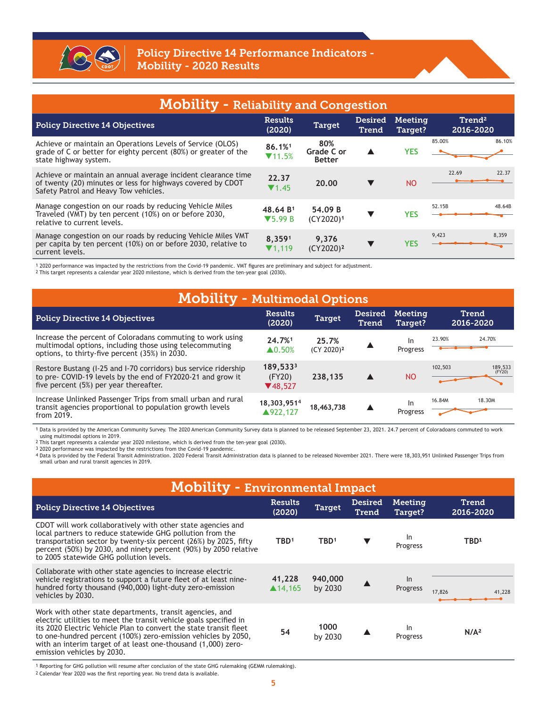

| <b>Mobility - Reliability and Congestion</b>                                                                                                                          |                                                     |                                    |                                |                    |                                 |        |  |  |  |
|-----------------------------------------------------------------------------------------------------------------------------------------------------------------------|-----------------------------------------------------|------------------------------------|--------------------------------|--------------------|---------------------------------|--------|--|--|--|
| <b>Policy Directive 14 Objectives</b>                                                                                                                                 | <b>Results</b><br>(2020)                            | <b>Target</b>                      | <b>Desired</b><br><b>Trend</b> | Meeting<br>Target? | Trend <sup>2</sup><br>2016-2020 |        |  |  |  |
| Achieve or maintain an Operations Levels of Service (OLOS)<br>grade of C or better for eighty percent (80%) or greater of the<br>state highway system.                | 86.1%1<br>$\P(11.5\%$                               | 80%<br>Grade C or<br><b>Better</b> |                                | <b>YES</b>         | 85.00%                          | 86.10% |  |  |  |
| Achieve or maintain an annual average incident clearance time<br>of twenty (20) minutes or less for highways covered by CDOT<br>Safety Patrol and Heavy Tow vehicles. | 22.37<br>$\P$ 1.45                                  | 20.00                              |                                | <b>NO</b>          | 22.69                           | 22.37  |  |  |  |
| Manage congestion on our roads by reducing Vehicle Miles<br>Traveled (VMT) by ten percent (10%) on or before 2030,<br>relative to current levels.                     | 48.64 B <sup>1</sup><br>$\blacktriangledown$ 5.99 B | 54.09 B<br>(CY2020) <sup>1</sup>   |                                | <b>YES</b>         | 52.15B                          | 48.64B |  |  |  |
| Manage congestion on our roads by reducing Vehicle Miles VMT<br>per capita by ten percent (10%) on or before 2030, relative to<br>current levels.                     | 8,3591<br>$\Pi$ 1.119                               | 9,376<br>$(CY2020)^2$              |                                | <b>YES</b>         | 9,423                           | 8,359  |  |  |  |

1 2020 performance was impacted by the restrictions from the Covid-19 pandemic. VMT figures are preliminary and subject for adjustment.<br>2 This target represents a calendar year 2020 milestone, which is derived from the ten

| <b>Mobility - Multimodal Options</b>                                                                                                                                     |                                    |                                 |                         |                       |         |                           |  |  |  |
|--------------------------------------------------------------------------------------------------------------------------------------------------------------------------|------------------------------------|---------------------------------|-------------------------|-----------------------|---------|---------------------------|--|--|--|
| <b>Policy Directive 14 Objectives</b>                                                                                                                                    | <b>Results</b><br>(2020)           | <b>Target</b>                   | <b>Desired</b><br>Trend | Meeting<br>Target?    |         | <b>Trend</b><br>2016-2020 |  |  |  |
| Increase the percent of Coloradans commuting to work using<br>multimodal options, including those using telecommuting<br>options, to thirty-five percent (35%) in 2030.  | 24.7%1<br>$\blacktriangle$ 0.50%   | 25.7%<br>(CY 2020) <sup>2</sup> |                         | -ln<br>Progress       | 23.90%  | 24.70%                    |  |  |  |
| Restore Bustang (1-25 and 1-70 corridors) bus service ridership<br>to pre- COVID-19 levels by the end of FY2020-21 and grow it<br>five percent (5%) per year thereafter. | 189,5333<br>(FY20)<br>$\P(48,527)$ | 238.135                         |                         | <b>NO</b>             | 102,503 | 189,533<br>(FY20)         |  |  |  |
| Increase Unlinked Passenger Trips from small urban and rural<br>transit agencies proportional to population growth levels<br>from 2019.                                  | 18,303,9514<br>▲922.127            | 18,463,738                      |                         | <b>In</b><br>Progress | 16.84M  | 18.30M                    |  |  |  |

1 Data is provided by the American Community Survey. The 2020 American Community Survey data is planned to be released September 23, 2021. 24.7 percent of Coloradoans commuted to work using multimodal options in 2019.

2 This target represents a calendar year 2020 milestone, which is derived from the ten-year goal (2030).

3 2020 performance was impacted by the restrictions from the Covid-19 pandemic.<br>4 Data is provided by the Federal Transit Administration. 2020 Federal Transit Administration data is planned to be released November 2021. Th small urban and rural transit agencies in 2019.

| <b>Mobility - Environmental Impact</b>                                                                                                                                                                                                                                                                                                                             |                              |                    |                         |                           |                    |  |  |  |  |
|--------------------------------------------------------------------------------------------------------------------------------------------------------------------------------------------------------------------------------------------------------------------------------------------------------------------------------------------------------------------|------------------------------|--------------------|-------------------------|---------------------------|--------------------|--|--|--|--|
| <b>Policy Directive 14 Objectives</b>                                                                                                                                                                                                                                                                                                                              | <b>Results</b><br>(2020)     | <b>Target</b>      | <b>Desired</b><br>Trend | Meeting<br>Target?        | Trend<br>2016-2020 |  |  |  |  |
| CDOT will work collaboratively with other state agencies and<br>local partners to reduce statewide GHG pollution from the<br>transportation sector by twenty-six percent (26%) by 2025, fifty<br>percent (50%) by 2030, and ninety percent (90%) by 2050 relative<br>to 2005 statewide GHG pollution levels.                                                       | TBD <sup>1</sup>             | TBD <sup>1</sup>   |                         | <sub>In</sub><br>Progress | TBD <sup>1</sup>   |  |  |  |  |
| Collaborate with other state agencies to increase electric<br>vehicle registrations to support a future fleet of at least nine-<br>hundred forty thousand (940,000) light-duty zero-emission<br>vehicles by 2030.                                                                                                                                                  | 41,228<br>$\triangle$ 14.165 | 940,000<br>by 2030 |                         | $\ln$<br>Progress         | 17,826<br>41,228   |  |  |  |  |
| Work with other state departments, transit agencies, and<br>electric utilities to meet the transit vehicle goals specified in<br>its 2020 Electric Vehicle Plan to convert the state transit fleet<br>to one-hundred percent (100%) zero-emission vehicles by 2050,<br>with an interim target of at least one-thousand (1,000) zero-<br>emission vehicles by 2030. | 54                           | 1000<br>by 2030    |                         | <b>In</b><br>Progress     | N/A <sup>2</sup>   |  |  |  |  |

1 Reporting for GHG pollution will resume after conclusion of the state GHG rulemaking (GEMM rulemaking).

2 Calendar Year 2020 was the first reporting year. No trend data is available.